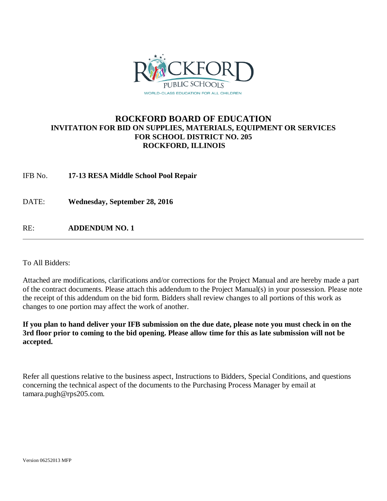

## **ROCKFORD BOARD OF EDUCATION INVITATION FOR BID ON SUPPLIES, MATERIALS, EQUIPMENT OR SERVICES FOR SCHOOL DISTRICT NO. 205 ROCKFORD, ILLINOIS**

IFB No. **17-13 RESA Middle School Pool Repair**

DATE: **Wednesday, September 28, 2016**

RE: **ADDENDUM NO. 1**

To All Bidders:

Attached are modifications, clarifications and/or corrections for the Project Manual and are hereby made a part of the contract documents. Please attach this addendum to the Project Manual(s) in your possession. Please note the receipt of this addendum on the bid form. Bidders shall review changes to all portions of this work as changes to one portion may affect the work of another.

**If you plan to hand deliver your IFB submission on the due date, please note you must check in on the 3rd floor prior to coming to the bid opening. Please allow time for this as late submission will not be accepted.**

Refer all questions relative to the business aspect, Instructions to Bidders, Special Conditions, and questions concerning the technical aspect of the documents to the Purchasing Process Manager by email at tamara.pugh@rps205.com.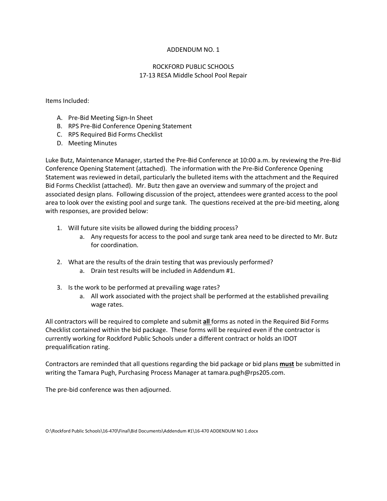#### ADDENDUM NO. 1

#### ROCKFORD PUBLIC SCHOOLS 17-13 RESA Middle School Pool Repair

Items Included:

- A. Pre-Bid Meeting Sign-In Sheet
- B. RPS Pre-Bid Conference Opening Statement
- C. RPS Required Bid Forms Checklist
- D. Meeting Minutes

Luke Butz, Maintenance Manager, started the Pre-Bid Conference at 10:00 a.m. by reviewing the Pre-Bid Conference Opening Statement (attached). The information with the Pre-Bid Conference Opening Statement was reviewed in detail, particularly the bulleted items with the attachment and the Required Bid Forms Checklist (attached). Mr. Butz then gave an overview and summary of the project and associated design plans. Following discussion of the project, attendees were granted access to the pool area to look over the existing pool and surge tank. The questions received at the pre-bid meeting, along with responses, are provided below:

- 1. Will future site visits be allowed during the bidding process?
	- a. Any requests for access to the pool and surge tank area need to be directed to Mr. Butz for coordination.
- 2. What are the results of the drain testing that was previously performed?
	- a. Drain test results will be included in Addendum #1.
- 3. Is the work to be performed at prevailing wage rates?
	- a. All work associated with the project shall be performed at the established prevailing wage rates.

All contractors will be required to complete and submit **all** forms as noted in the Required Bid Forms Checklist contained within the bid package. These forms will be required even if the contractor is currently working for Rockford Public Schools under a different contract or holds an IDOT prequalification rating.

Contractors are reminded that all questions regarding the bid package or bid plans **must** be submitted in writing the Tamara Pugh, Purchasing Process Manager at tamara.pugh@rps205.com.

The pre-bid conference was then adjourned.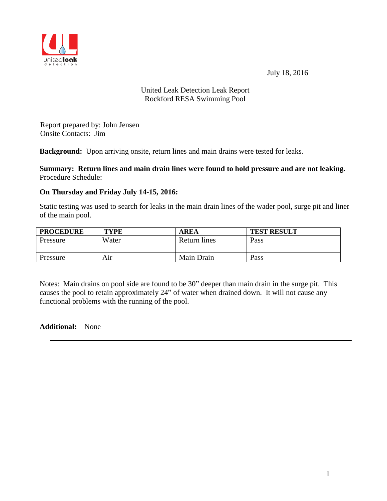July 18, 2016



## United Leak Detection Leak Report Rockford RESA Swimming Pool

Report prepared by: John Jensen Onsite Contacts: Jim

**Background:** Upon arriving onsite, return lines and main drains were tested for leaks.

**Summary: Return lines and main drain lines were found to hold pressure and are not leaking.** Procedure Schedule:

## **On Thursday and Friday July 14-15, 2016:**

Static testing was used to search for leaks in the main drain lines of the wader pool, surge pit and liner of the main pool.

| <b>PROCEDURE</b> | <b>TYPE</b> | <b>AREA</b>         | <b>TEST RESULT</b> |
|------------------|-------------|---------------------|--------------------|
| Pressure         | Water       | <b>Return lines</b> | Pass               |
| Pressure         | Aır         | Main Drain          | Pass               |

Notes: Main drains on pool side are found to be 30" deeper than main drain in the surge pit. This causes the pool to retain approximately 24" of water when drained down. It will not cause any functional problems with the running of the pool.

**Additional:** None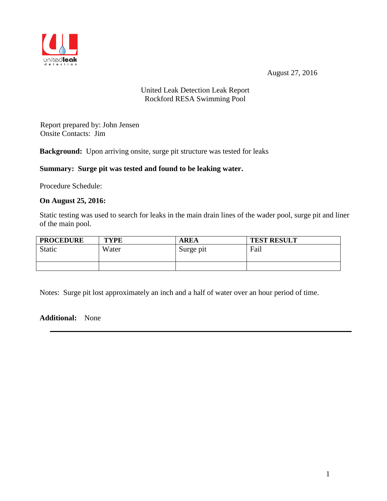August 27, 2016



## United Leak Detection Leak Report Rockford RESA Swimming Pool

Report prepared by: John Jensen Onsite Contacts: Jim

**Background:** Upon arriving onsite, surge pit structure was tested for leaks

## **Summary: Surge pit was tested and found to be leaking water.**

Procedure Schedule:

### **On August 25, 2016:**

Static testing was used to search for leaks in the main drain lines of the wader pool, surge pit and liner of the main pool.

| <b>PROCEDURE</b> | <b>TYPE</b> | <b>AREA</b> | <b>TEST RESULT</b> |
|------------------|-------------|-------------|--------------------|
| Static           | Water       | Surge pit   | Fail               |
|                  |             |             |                    |

Notes: Surge pit lost approximately an inch and a half of water over an hour period of time.

### **Additional:** None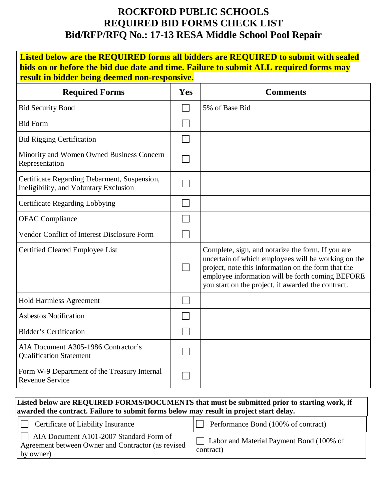# **ROCKFORD PUBLIC SCHOOLS REQUIRED BID FORMS CHECK LIST Bid/RFP/RFQ No.: 17-13 RESA Middle School Pool Repair**

| Listed below are the REQUIRED forms all bidders are REQUIRED to submit with sealed<br>bids on or before the bid due date and time. Failure to submit ALL required forms may<br>result in bidder being deemed non-responsive. |     |                                                                                                                                                                                                                                                                           |  |  |  |
|------------------------------------------------------------------------------------------------------------------------------------------------------------------------------------------------------------------------------|-----|---------------------------------------------------------------------------------------------------------------------------------------------------------------------------------------------------------------------------------------------------------------------------|--|--|--|
| <b>Required Forms</b>                                                                                                                                                                                                        | Yes | <b>Comments</b>                                                                                                                                                                                                                                                           |  |  |  |
| <b>Bid Security Bond</b>                                                                                                                                                                                                     |     | 5% of Base Bid                                                                                                                                                                                                                                                            |  |  |  |
| <b>Bid Form</b>                                                                                                                                                                                                              |     |                                                                                                                                                                                                                                                                           |  |  |  |
| <b>Bid Rigging Certification</b>                                                                                                                                                                                             |     |                                                                                                                                                                                                                                                                           |  |  |  |
| Minority and Women Owned Business Concern<br>Representation                                                                                                                                                                  |     |                                                                                                                                                                                                                                                                           |  |  |  |
| Certificate Regarding Debarment, Suspension,<br>Ineligibility, and Voluntary Exclusion                                                                                                                                       |     |                                                                                                                                                                                                                                                                           |  |  |  |
| <b>Certificate Regarding Lobbying</b>                                                                                                                                                                                        |     |                                                                                                                                                                                                                                                                           |  |  |  |
| <b>OFAC</b> Compliance                                                                                                                                                                                                       |     |                                                                                                                                                                                                                                                                           |  |  |  |
| Vendor Conflict of Interest Disclosure Form                                                                                                                                                                                  |     |                                                                                                                                                                                                                                                                           |  |  |  |
| Certified Cleared Employee List                                                                                                                                                                                              |     | Complete, sign, and notarize the form. If you are<br>uncertain of which employees will be working on the<br>project, note this information on the form that the<br>employee information will be forth coming BEFORE<br>you start on the project, if awarded the contract. |  |  |  |
| <b>Hold Harmless Agreement</b>                                                                                                                                                                                               |     |                                                                                                                                                                                                                                                                           |  |  |  |
| <b>Asbestos Notification</b>                                                                                                                                                                                                 |     |                                                                                                                                                                                                                                                                           |  |  |  |
| <b>Bidder's Certification</b>                                                                                                                                                                                                |     |                                                                                                                                                                                                                                                                           |  |  |  |
| AIA Document A305-1986 Contractor's<br><b>Qualification Statement</b>                                                                                                                                                        |     |                                                                                                                                                                                                                                                                           |  |  |  |
| Form W-9 Department of the Treasury Internal<br><b>Revenue Service</b>                                                                                                                                                       |     |                                                                                                                                                                                                                                                                           |  |  |  |

## **Listed below are REQUIRED FORMS/DOCUMENTS that must be submitted prior to starting work, if awarded the contract. Failure to submit forms below may result in project start delay.**

| <b>Certificate of Liability Insurance</b>                                                                  | Performance Bond (100% of contract)                   |
|------------------------------------------------------------------------------------------------------------|-------------------------------------------------------|
| AIA Document A101-2007 Standard Form of<br>Agreement between Owner and Contractor (as revised<br>by owner) | Labor and Material Payment Bond (100% of<br>contract) |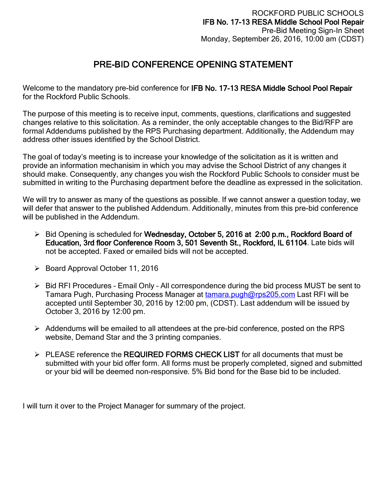# PRE-BID CONFERENCE OPENING STATEMENT

Welcome to the mandatory pre-bid conference for IFB No. 17-13 RESA Middle School Pool Repair for the Rockford Public Schools.

The purpose of this meeting is to receive input, comments, questions, clarifications and suggested changes relative to this solicitation. As a reminder, the only acceptable changes to the Bid/RFP are formal Addendums published by the RPS Purchasing department. Additionally, the Addendum may address other issues identified by the School District.

The goal of today's meeting is to increase your knowledge of the solicitation as it is written and provide an information mechanisim in which you may advise the School District of any changes it should make. Consequently, any changes you wish the Rockford Public Schools to consider must be submitted in writing to the Purchasing department before the deadline as expressed in the solicitation.

We will try to answer as many of the questions as possible. If we cannot answer a question today, we will defer that answer to the published Addendum. Additionally, minutes from this pre-bid conference will be published in the Addendum.

- $\triangleright$  Bid Opening is scheduled for Wednesday, October 5, 2016 at 2:00 p.m., Rockford Board of Education, 3rd floor Conference Room 3, 501 Seventh St., Rockford, IL 61104. Late bids will not be accepted. Faxed or emailed bids will not be accepted.
- $\triangleright$  Board Approval October 11, 2016
- $\triangleright$  Bid RFI Procedures Email Only All correspondence during the bid process MUST be sent to Tamara Pugh, Purchasing Process Manager at [tamara.pugh@rps205.com](mailto:tamara.pugh@rps205.com) Last RFI will be accepted until September 30, 2016 by 12:00 pm, (CDST). Last addendum will be issued by October 3, 2016 by 12:00 pm.
- $\triangleright$  Addendums will be emailed to all attendees at the pre-bid conference, posted on the RPS website, Demand Star and the 3 printing companies.
- > PLEASE reference the REQUIRED FORMS CHECK LIST for all documents that must be submitted with your bid offer form. All forms must be properly completed, signed and submitted or your bid will be deemed non-responsive. 5% Bid bond for the Base bid to be included.

I will turn it over to the Project Manager for summary of the project.